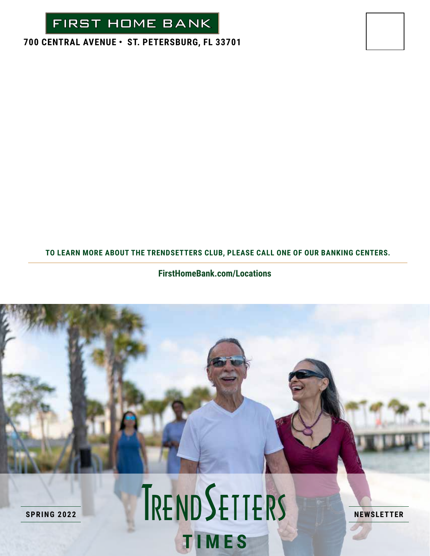

### **700 CENTRAL AVENUE • ST. PETERSBURG, FL 33701**

#### **TO LEARN MORE ABOUT THE TRENDSETTERS CLUB, PLEASE CALL ONE OF OUR BANKING CENTERS.**

### **FirstHomeBank.com/Locations**

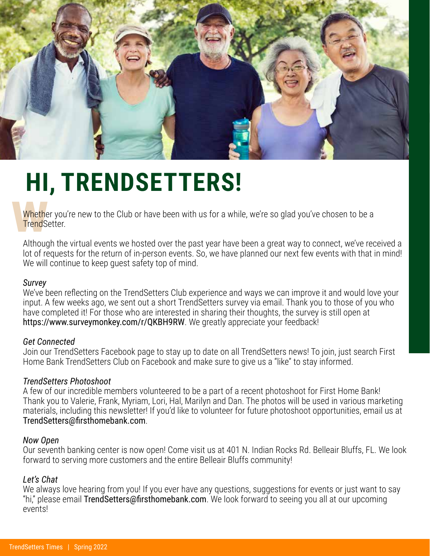

# **HI, TRENDSETTERS!**

Whether you're new to the Club or have been with us for a while, we're so glad you've chosen to be a TrendSetter.

Although the virtual events we hosted over the past year have been a great way to connect, we've received a lot of requests for the return of in-person events. So, we have planned our next few events with that in mind! We will continue to keep guest safety top of mind.

#### *Survey*

We've been reflecting on the TrendSetters Club experience and ways we can improve it and would love your input. A few weeks ago, we sent out a short TrendSetters survey via email. Thank you to those of you who have completed it! For those who are interested in sharing their thoughts, the survey is still open at https://www.surveymonkey.com/r/QKBH9RW. We greatly appreciate your feedback!

#### *Get Connected*

Join our TrendSetters Facebook page to stay up to date on all TrendSetters news! To join, just search First Home Bank TrendSetters Club on Facebook and make sure to give us a "like" to stay informed.

### *TrendSetters Photoshoot*

A few of our incredible members volunteered to be a part of a recent photoshoot for First Home Bank! Thank you to Valerie, Frank, Myriam, Lori, Hal, Marilyn and Dan. The photos will be used in various marketing materials, including this newsletter! If you'd like to volunteer for future photoshoot opportunities, email us at TrendSetters@firsthomebank.com.

#### *Now Open*

Our seventh banking center is now open! Come visit us at 401 N. Indian Rocks Rd. Belleair Bluffs, FL. We look forward to serving more customers and the entire Belleair Bluffs community!

### *Let's Chat*

We always love hearing from you! If you ever have any questions, suggestions for events or just want to say "hi," please email TrendSetters@firsthomebank.com. We look forward to seeing you all at our upcoming events!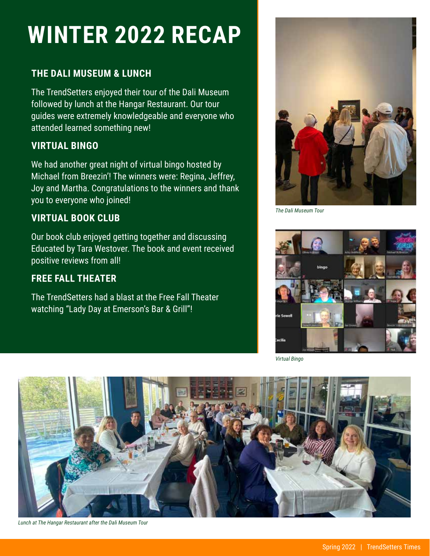### **WINTER 2022 RECAP**

### **THE DALI MUSEUM & LUNCH**

The TrendSetters enjoyed their tour of the Dali Museum followed by lunch at the Hangar Restaurant. Our tour guides were extremely knowledgeable and everyone who attended learned something new!

### **VIRTUAL BINGO**

We had another great night of virtual bingo hosted by Michael from Breezin'! The winners were: Regina, Jeffrey, Joy and Martha. Congratulations to the winners and thank you to everyone who joined!

### **VIRTUAL BOOK CLUB**

Our book club enjoyed getting together and discussing Educated by Tara Westover. The book and event received positive reviews from all!

### **FREE FALL THEATER**

The TrendSetters had a blast at the Free Fall Theater watching "Lady Day at Emerson's Bar & Grill"!



*The Dali Museum Tour*



*Virtual Bingo*



*Lunch at The Hangar Restaurant after the Dali Museum Tour*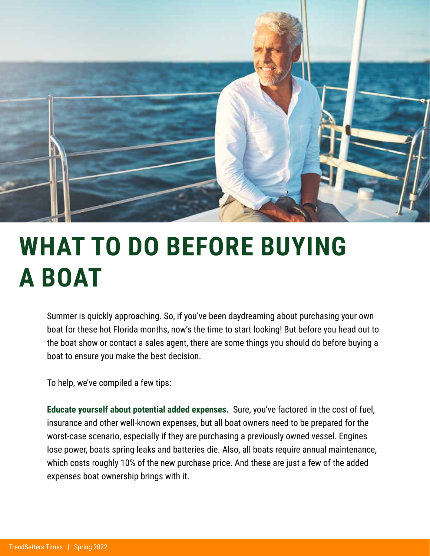

### **WHAT TO DO BEFORE BUYING A BOAT**

Summer is quickly approaching. So, if you've been daydreaming about purchasing your own boat for these hot Florida months, now's the time to start looking! But before you head out to the boat show or contact a sales agent, there are some things you should do before buying a boat to ensure you make the best decision.

To help, we've compiled a few tips:

**Educate yourself about potential added expenses.** Sure, you've factored in the cost of fuel, insurance and other well-known expenses, but all boat owners need to be prepared for the worst-case scenario, especially if they are purchasing a previously owned vessel. Engines lose power, boats spring leaks and batteries die. Also, all boats require annual maintenance, which costs roughly 10% of the new purchase price. And these are just a few of the added expenses boat ownership brings with it.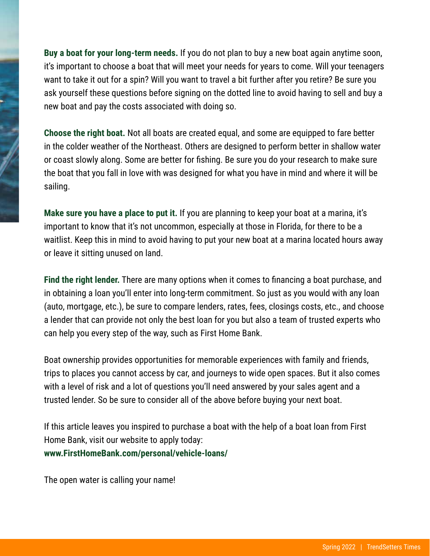**Buy a boat for your long-term needs.** If you do not plan to buy a new boat again anytime soon, it's important to choose a boat that will meet your needs for years to come. Will your teenagers want to take it out for a spin? Will you want to travel a bit further after you retire? Be sure you ask yourself these questions before signing on the dotted line to avoid having to sell and buy a new boat and pay the costs associated with doing so.

**Choose the right boat.** Not all boats are created equal, and some are equipped to fare better in the colder weather of the Northeast. Others are designed to perform better in shallow water or coast slowly along. Some are better for fishing. Be sure you do your research to make sure the boat that you fall in love with was designed for what you have in mind and where it will be sailing.

**Make sure you have a place to put it.** If you are planning to keep your boat at a marina, it's important to know that it's not uncommon, especially at those in Florida, for there to be a waitlist. Keep this in mind to avoid having to put your new boat at a marina located hours away or leave it sitting unused on land.

**Find the right lender.** There are many options when it comes to financing a boat purchase, and in obtaining a loan you'll enter into long-term commitment. So just as you would with any loan (auto, mortgage, etc.), be sure to compare lenders, rates, fees, closings costs, etc., and choose a lender that can provide not only the best loan for you but also a team of trusted experts who can help you every step of the way, such as First Home Bank.

Boat ownership provides opportunities for memorable experiences with family and friends, trips to places you cannot access by car, and journeys to wide open spaces. But it also comes with a level of risk and a lot of questions you'll need answered by your sales agent and a trusted lender. So be sure to consider all of the above before buying your next boat.

If this article leaves you inspired to purchase a boat with the help of a boat loan from First Home Bank, visit our website to apply today: **www.FirstHomeBank.com/personal/vehicle-loans/**

The open water is calling your name!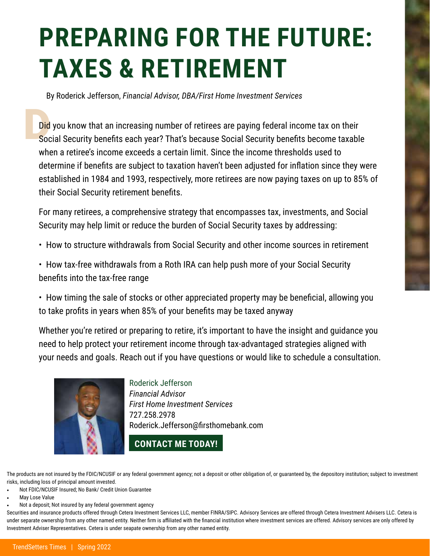# **PREPARING FOR THE FUTURE: TAXES & RETIREMENT**

By Roderick Jefferson, *Financial Advisor, DBA/First Home Investment Services*

Did<br>Soc Did you know that an increasing number of retirees are paying federal income tax on their Social Security benefits each year? That's because Social Security benefits become taxable when a retiree's income exceeds a certain limit. Since the income thresholds used to determine if benefits are subject to taxation haven't been adjusted for inflation since they were established in 1984 and 1993, respectively, more retirees are now paying taxes on up to 85% of their Social Security retirement benefits.

For many retirees, a comprehensive strategy that encompasses tax, investments, and Social Security may help limit or reduce the burden of Social Security taxes by addressing:

• How to structure withdrawals from Social Security and other income sources in retirement

• How tax-free withdrawals from a Roth IRA can help push more of your Social Security benefits into the tax-free range

• How timing the sale of stocks or other appreciated property may be beneficial, allowing you to take profits in years when 85% of your benefits may be taxed anyway

Whether you're retired or preparing to retire, it's important to have the insight and guidance you need to help protect your retirement income through tax-advantaged strategies aligned with your needs and goals. Reach out if you have questions or would like to schedule a consultation.



Roderick Jefferson *Financial Advisor First Home Investment Services* 727.258.2978 Roderick.Jefferson@firsthomebank.com

### **CONTACT ME TODAY!**

The products are not insured by the FDIC/NCUSIF or any federal government agency; not a deposit or other obligation of, or guaranteed by, the depository institution; subject to investment risks, including loss of principal amount invested.

- Not FDIC/NCUSIF Insured; No Bank/ Credit Union Guarantee
- May Lose Value
- Not a deposit; Not insured by any federal government agency

Securities and insurance products offered through Cetera Investment Services LLC, member FINRA/SIPC. Advisory Services are offered through Cetera Investment Advisers LLC. Cetera is under separate ownership from any other named entity. Neither firm is affiliated with the financial institution where investment services are offered. Advisory services are only offered by Investment Adviser Representatives. Cetera is under seapate ownership from any other named entity.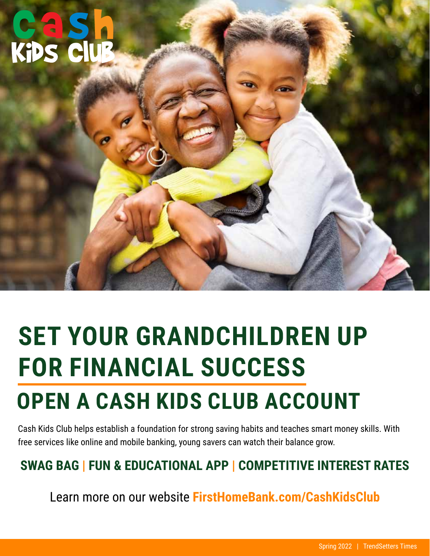# **CAS**<br>Kips C

## **SET YOUR GRANDCHILDREN UP FOR FINANCIAL SUCCESS OPEN A CASH KIDS CLUB ACCOUNT**

Cash Kids Club helps establish a foundation for strong saving habits and teaches smart money skills. With free services like online and mobile banking, young savers can watch their balance grow.

### **SWAG BAG | FUN & EDUCATIONAL APP | COMPETITIVE INTEREST RATES**

Learn more on our website **FirstHomeBank.com/CashKidsClub**